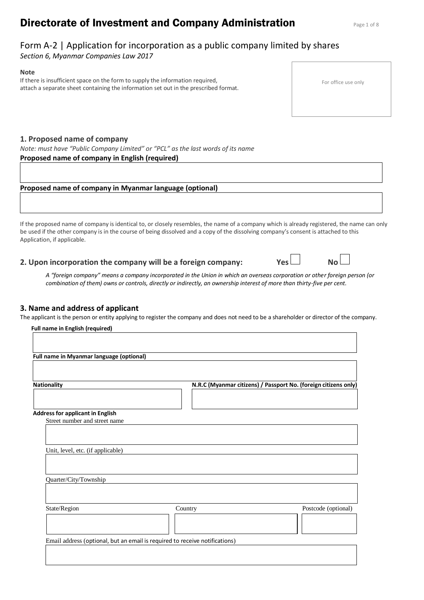# **Directorate of Investment and Company Administration** Page 1 of 8

## Form A-2 | Application for incorporation as a public company limited by shares

*Section 6, Myanmar Companies Law 2017*

### **Note**

If there is insufficient space on the form to supply the information required, attach a separate sheet containing the information set out in the prescribed format.

## **1. Proposed name of company**

*Note: must have "Public Company Limited" or "PCL" as the last words of its name* **Proposed name of company in English (required)** 

## **Proposed name of company in Myanmar language (optional)**

If the proposed name of company is identical to, or closely resembles, the name of a company which is already registered, the name can only be used if the other company is in the course of being dissolved and a copy of the dissolving company's consent is attached to this Application, if applicable.

## **2. Upon incorporation the company will be a foreign company: Yes No**

*A "foreign company" means a company incorporated in the Union in which an overseas corporation or other foreign person (or combination of them) owns or controls, directly or indirectly, an ownership interest of more than thirty-five per cent.*

## **3. Name and address of applicant**

The applicant is the person or entity applying to register the company and does not need to be a shareholder or director of the company.

| Full name in Myanmar language (optional) |                                                                             |                                                                 |
|------------------------------------------|-----------------------------------------------------------------------------|-----------------------------------------------------------------|
| <b>Nationality</b>                       |                                                                             | N.R.C (Myanmar citizens) / Passport No. (foreign citizens only) |
| <b>Address for applicant in English</b>  |                                                                             |                                                                 |
| Street number and street name            |                                                                             |                                                                 |
|                                          |                                                                             |                                                                 |
| Unit, level, etc. (if applicable)        |                                                                             |                                                                 |
|                                          |                                                                             |                                                                 |
| Quarter/City/Township                    |                                                                             |                                                                 |
| State/Region                             | Country                                                                     | Postcode (optional)                                             |
|                                          |                                                                             |                                                                 |
|                                          | Email address (optional, but an email is required to receive notifications) |                                                                 |

#### For office use only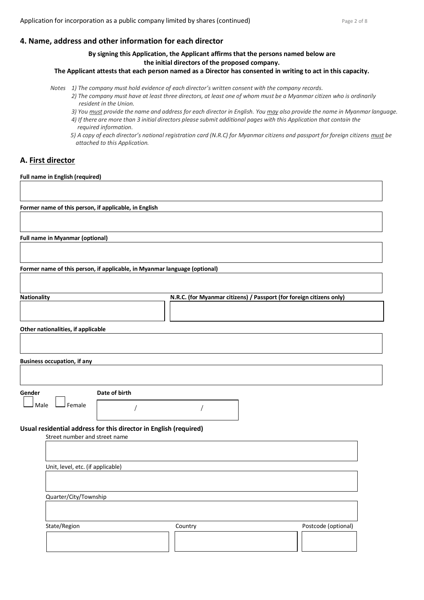### **4. Name, address and other information for each director**

### **By signing this Application, the Applicant affirmsthat the persons named below are the initial directors of the proposed company.**

**The Applicant attests that each person named as a Director has consented in writing to act in this capacity.**

- *Notes 1) The company must hold evidence of each director's written consent with the company records. 2) The company must have at least three directors, at least one of whom must be a Myanmar citizen who is ordinarily resident in the Union.*
	- *3) You must provide the name and address for each director in English. You may also provide the name in Myanmar language.*
	- *4) If there are more than 3 initial directors please submit additional pages with this Application that contain the required information.*
	- *5) A copy of each director's national registration card (N.R.C) for Myanmar citizens and passport for foreign citizens must be attached to this Application.*

## **A. First director**

**Full name in English (required)**

**Former name of this person, if applicable, in English**

**Full name in Myanmar (optional)**

**Former name of this person, if applicable, in Myanmar language (optional)**

| <b>Nationality</b> | N.R.C. (for Myanmar citizens) / Passport (for foreign citizens only) |  |
|--------------------|----------------------------------------------------------------------|--|
|                    |                                                                      |  |
|                    |                                                                      |  |
|                    |                                                                      |  |

**Other nationalities, if applicable**

| Gender                        | Date of birth                                                     |  |
|-------------------------------|-------------------------------------------------------------------|--|
| Female<br>Male                |                                                                   |  |
| Street number and street name | Usual residential address for this director in English (required) |  |
|                               | Unit, level, etc. (if applicable)                                 |  |

| State/Region | Country | Postcode (optional) |
|--------------|---------|---------------------|
|              |         |                     |
|              |         |                     |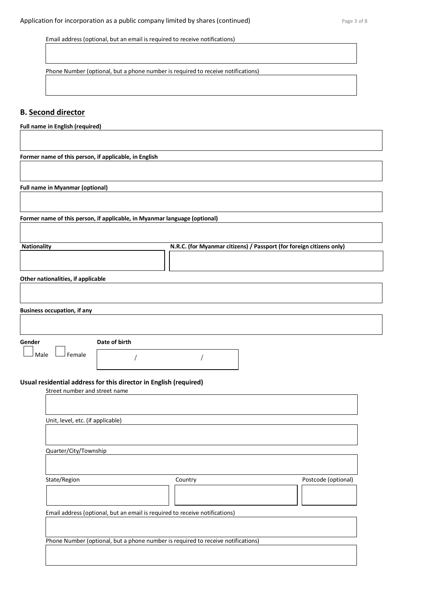Email address (optional, but an email is required to receive notifications)

Phone Number (optional, but a phone number is required to receive notifications)

### **B. Second director**

**Full name in English (required)**

**Former name of this person, if applicable, in English**

**Full name in Myanmar (optional)**

**Former name of this person, if applicable, in Myanmar language (optional)**

| <b>Nationality</b>                                                                                             | N.R.C. (for Myanmar citizens) / Passport (for foreign citizens only) |
|----------------------------------------------------------------------------------------------------------------|----------------------------------------------------------------------|
|                                                                                                                |                                                                      |
|                                                                                                                |                                                                      |
| and the contract of the contract of the contract of the set of the contract of the contract of the contract of |                                                                      |

**Other nationalities, if applicable**

| <b>Business occupation, if any</b> |  |  |
|------------------------------------|--|--|
|                                    |  |  |
|                                    |  |  |

**Gender Date of birth**

 $\Box$  Female

/ /

### **Usual residential address for this director in English (required)**

Street number and street name

| Unit, level, etc. (if applicable) |                                                                                  |                     |
|-----------------------------------|----------------------------------------------------------------------------------|---------------------|
|                                   |                                                                                  |                     |
| Quarter/City/Township             |                                                                                  |                     |
|                                   |                                                                                  |                     |
| State/Region                      | Country                                                                          | Postcode (optional) |
|                                   |                                                                                  |                     |
|                                   | Email address (optional, but an email is required to receive notifications)      |                     |
|                                   |                                                                                  |                     |
|                                   | Phone Number (optional, but a phone number is required to receive notifications) |                     |
|                                   |                                                                                  |                     |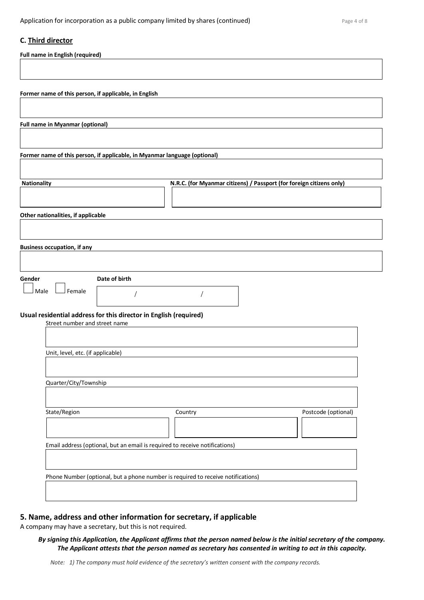### **C. Third director**

**Full name in English (required)**

**Former name of this person, if applicable, in English**

**Full name in Myanmar (optional)**

**Former name of this person, if applicable, in Myanmar language (optional)**

| <b>Nationality</b>                 | N.R.C. (for Myanmar citizens) / Passport (for foreign citizens only) |
|------------------------------------|----------------------------------------------------------------------|
|                                    |                                                                      |
|                                    |                                                                      |
| Other nationalities, if applicable |                                                                      |

**Business occupation, if any**

 $\Box$  Female

**Gender Date of birth**

/ /

**Usual residential address for this director in English (required)**

| Street number and street name                                               |                                                                                  |                     |
|-----------------------------------------------------------------------------|----------------------------------------------------------------------------------|---------------------|
|                                                                             |                                                                                  |                     |
|                                                                             |                                                                                  |                     |
| Unit, level, etc. (if applicable)                                           |                                                                                  |                     |
|                                                                             |                                                                                  |                     |
|                                                                             |                                                                                  |                     |
| Quarter/City/Township                                                       |                                                                                  |                     |
|                                                                             |                                                                                  |                     |
|                                                                             |                                                                                  |                     |
| State/Region                                                                | Country                                                                          | Postcode (optional) |
|                                                                             |                                                                                  |                     |
|                                                                             |                                                                                  |                     |
| Email address (optional, but an email is required to receive notifications) |                                                                                  |                     |
|                                                                             |                                                                                  |                     |
|                                                                             |                                                                                  |                     |
|                                                                             | Phone Number (optional, but a phone number is required to receive notifications) |                     |
|                                                                             |                                                                                  |                     |
|                                                                             |                                                                                  |                     |
|                                                                             |                                                                                  |                     |

## **5. Name, address and other information for secretary, if applicable**

A company may have a secretary, but this is not required.

### *By signing this Application, the Applicant affirms that the person named below is the initial secretary of the company. The Applicant attests that the person named as secretary has consented in writing to act in this capacity.*

*Note: 1) The company must hold evidence of the secretary's written consent with the company records.*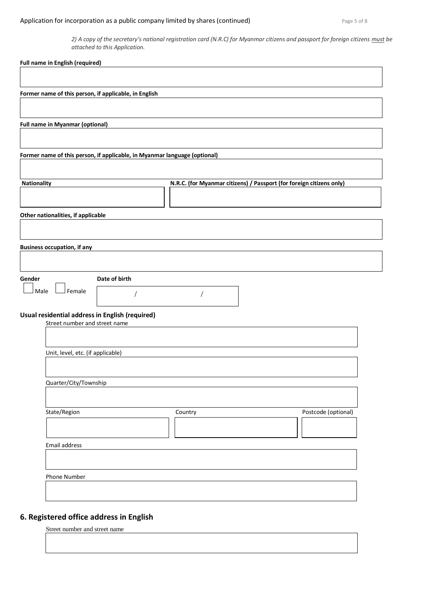## Application for incorporation as a public company limited by shares (continued) Page 5 of 8

*2) A copy of the secretary's national registration card (N.R.C) for Myanmar citizens and passport for foreign citizens must be attached to this Application.*

| <b>Full name in English (required)</b>                                           |                                                                      |
|----------------------------------------------------------------------------------|----------------------------------------------------------------------|
|                                                                                  |                                                                      |
| Former name of this person, if applicable, in English                            |                                                                      |
|                                                                                  |                                                                      |
| Full name in Myanmar (optional)                                                  |                                                                      |
| Former name of this person, if applicable, in Myanmar language (optional)        |                                                                      |
|                                                                                  |                                                                      |
| Nationality                                                                      | N.R.C. (for Myanmar citizens) / Passport (for foreign citizens only) |
| Other nationalities, if applicable                                               |                                                                      |
| <b>Business occupation, if any</b>                                               |                                                                      |
|                                                                                  |                                                                      |
| Date of birth<br>Gender<br>Female<br>Male                                        |                                                                      |
| Usual residential address in English (required)<br>Street number and street name |                                                                      |
|                                                                                  |                                                                      |
| Unit, level, etc. (if applicable)                                                |                                                                      |
| Quarter/City/Township                                                            |                                                                      |
| State/Region                                                                     | Postcode (optional)<br>Country                                       |
| Email address                                                                    |                                                                      |
|                                                                                  |                                                                      |
| Phone Number                                                                     |                                                                      |
|                                                                                  |                                                                      |

## **6. Registered office address in English**

Street number and street name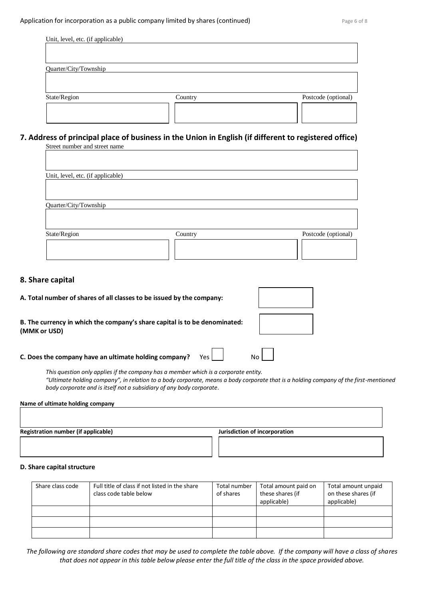| Unit, level, etc. (if applicable) |         |                     |
|-----------------------------------|---------|---------------------|
|                                   |         |                     |
|                                   |         |                     |
|                                   |         |                     |
| Quarter/City/Township             |         |                     |
|                                   |         |                     |
|                                   |         |                     |
|                                   |         |                     |
| State/Region                      | Country | Postcode (optional) |
|                                   |         |                     |
|                                   |         |                     |
|                                   |         |                     |

#### **7. Address of principal place of business in the Union in English (if different to registered office)** Street number and street name

| Unit, level, etc. (if applicable) |         |                     |
|-----------------------------------|---------|---------------------|
|                                   |         |                     |
| Quarter/City/Township             |         |                     |
|                                   |         |                     |
| State/Region                      | Country | Postcode (optional) |
|                                   |         |                     |
|                                   |         |                     |

## **8. Share capital**

| A. Total number of shares of all classes to be issued by the company:                      |     |  |
|--------------------------------------------------------------------------------------------|-----|--|
| B. The currency in which the company's share capital is to be denominated:<br>(MMK or USD) |     |  |
| C. Does the company have an ultimate holding company?                                      | Yes |  |

*This question only applies if the company has a member which is a corporate entity. "Ultimate holding company", in relation to a body corporate, means a body corporate that is a holding company of the first-mentioned body corporate and is itself not a subsidiary of any body corporate.*

#### **Name of ultimate holding company**

**Registration number (if applicable) Jurisdiction of incorporation** 

#### **D. Share capital structure**

| Share class code | Full title of class if not listed in the share | Total number | Total amount paid on | Total amount unpaid |
|------------------|------------------------------------------------|--------------|----------------------|---------------------|
|                  | class code table below                         | of shares    | these shares (if     | on these shares (if |
|                  |                                                |              | applicable)          | applicable)         |
|                  |                                                |              |                      |                     |
|                  |                                                |              |                      |                     |
|                  |                                                |              |                      |                     |

*The following are standard share codes that may be used to complete the table above. If the company will have a class of shares that does not appear in this table below please enter the full title of the class in the space provided above.*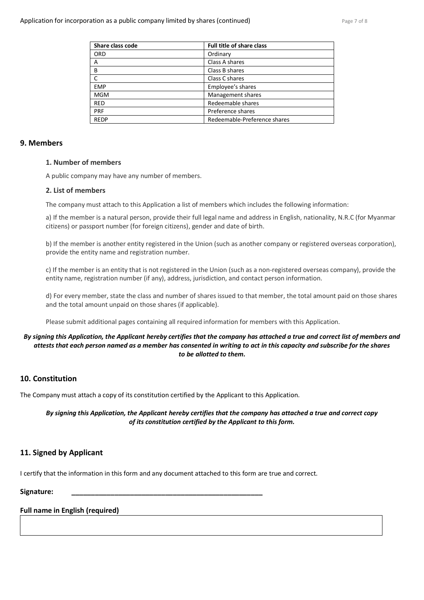| Share class code | <b>Full title of share class</b> |
|------------------|----------------------------------|
| <b>ORD</b>       | Ordinary                         |
| A                | Class A shares                   |
| B                | Class B shares                   |
| C                | Class C shares                   |
| <b>EMP</b>       | Employee's shares                |
| <b>MGM</b>       | Management shares                |
| <b>RED</b>       | Redeemable shares                |
| <b>PRF</b>       | Preference shares                |
| <b>REDP</b>      | Redeemable-Preference shares     |

### **9. Members**

### **1. Number of members**

A public company may have any number of members.

### **2. List of members**

The company must attach to this Application a list of members which includes the following information:

a) If the member is a natural person, provide their full legal name and address in English, nationality, N.R.C (for Myanmar citizens) or passport number (for foreign citizens), gender and date of birth.

b) If the member is another entity registered in the Union (such as another company or registered overseas corporation), provide the entity name and registration number.

c) If the member is an entity that is not registered in the Union (such as a non-registered overseas company), provide the entity name, registration number (if any), address, jurisdiction, and contact person information.

d) For every member, state the class and number of shares issued to that member, the total amount paid on those shares and the total amount unpaid on those shares (if applicable).

Please submit additional pages containing all required information for members with this Application.

### *By signing this Application, the Applicant hereby certifies that the company has attached a true and correct list of members and attests that each person named as a member has consented in writing to act in this capacity and subscribe for the shares to be allotted to them.*

## **10. Constitution**

The Company must attach a copy of its constitution certified by the Applicant to this Application.

*By signing this Application, the Applicant hereby certifies that the company has attached a true and correct copy of its constitution certified by the Applicant to this form.*

## **11. Signed by Applicant**

I certify that the information in this form and any document attached to this form are true and correct.

**Signature: \_\_\_\_\_\_\_\_\_\_\_\_\_\_\_\_\_\_\_\_\_\_\_\_\_\_\_\_\_\_\_\_\_\_\_\_\_\_\_\_\_\_\_\_\_\_\_\_\_**

## **Full name in English (required)**